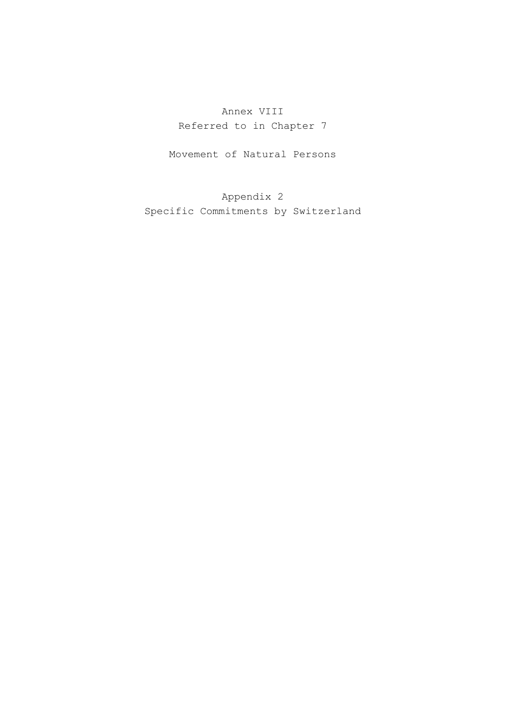# Annex VIII Referred to in Chapter 7

Movement of Natural Persons

Appendix 2 Specific Commitments by Switzerland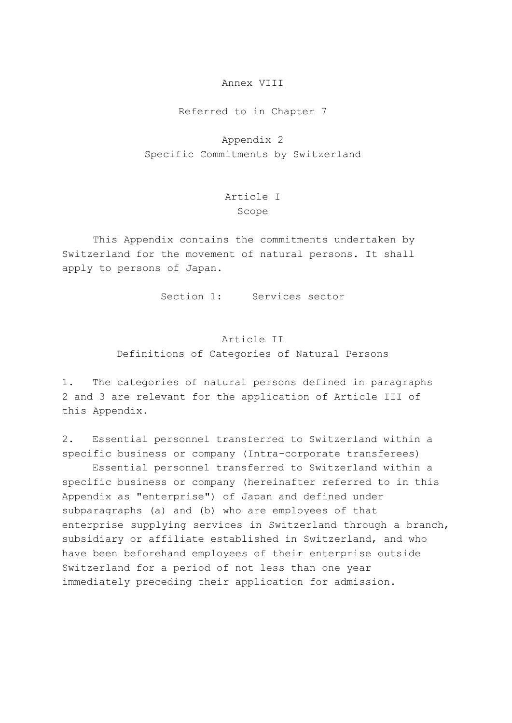#### Annex VIII

Referred to in Chapter 7

Appendix 2 Specific Commitments by Switzerland

### Article I Scope

 This Appendix contains the commitments undertaken by Switzerland for the movement of natural persons. It shall apply to persons of Japan.

Section 1: Services sector

## Article II Definitions of Categories of Natural Persons

1. The categories of natural persons defined in paragraphs 2 and 3 are relevant for the application of Article III of this Appendix.

2. Essential personnel transferred to Switzerland within a specific business or company (Intra-corporate transferees)

 Essential personnel transferred to Switzerland within a specific business or company (hereinafter referred to in this Appendix as "enterprise") of Japan and defined under subparagraphs (a) and (b) who are employees of that enterprise supplying services in Switzerland through a branch, subsidiary or affiliate established in Switzerland, and who have been beforehand employees of their enterprise outside Switzerland for a period of not less than one year immediately preceding their application for admission.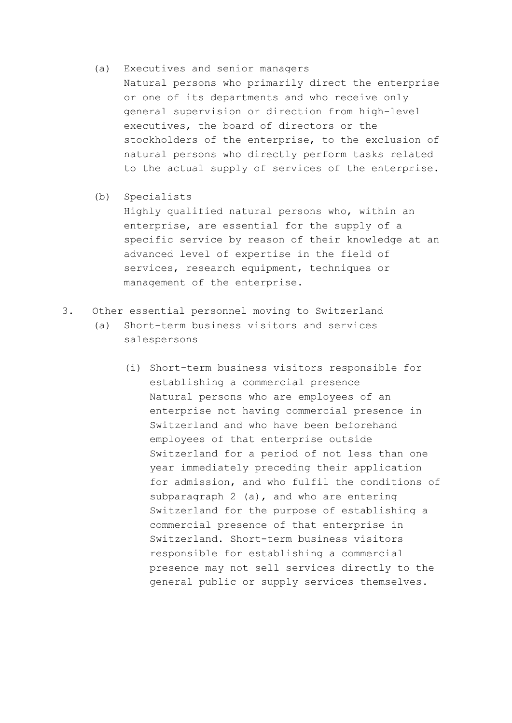- (a) Executives and senior managers Natural persons who primarily direct the enterprise or one of its departments and who receive only general supervision or direction from high-level executives, the board of directors or the stockholders of the enterprise, to the exclusion of natural persons who directly perform tasks related to the actual supply of services of the enterprise.
- (b) Specialists

 Highly qualified natural persons who, within an enterprise, are essential for the supply of a specific service by reason of their knowledge at an advanced level of expertise in the field of services, research equipment, techniques or management of the enterprise.

- 3. Other essential personnel moving to Switzerland
	- (a) Short-term business visitors and services salespersons
		- (i) Short-term business visitors responsible for establishing a commercial presence Natural persons who are employees of an enterprise not having commercial presence in Switzerland and who have been beforehand employees of that enterprise outside Switzerland for a period of not less than one year immediately preceding their application for admission, and who fulfil the conditions of subparagraph 2 (a), and who are entering Switzerland for the purpose of establishing a commercial presence of that enterprise in Switzerland. Short-term business visitors responsible for establishing a commercial presence may not sell services directly to the general public or supply services themselves.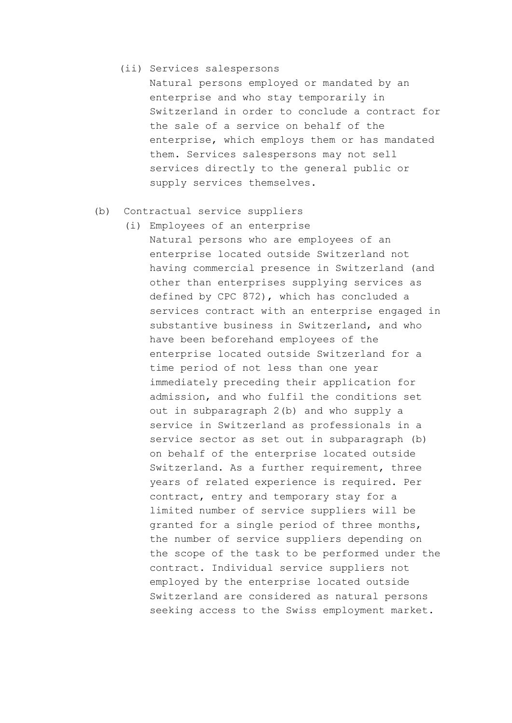(ii) Services salespersons

 Natural persons employed or mandated by an enterprise and who stay temporarily in Switzerland in order to conclude a contract for the sale of a service on behalf of the enterprise, which employs them or has mandated them. Services salespersons may not sell services directly to the general public or supply services themselves.

- (b) Contractual service suppliers
	- (i) Employees of an enterprise Natural persons who are employees of an enterprise located outside Switzerland not having commercial presence in Switzerland (and other than enterprises supplying services as defined by CPC 872), which has concluded a services contract with an enterprise engaged in substantive business in Switzerland, and who have been beforehand employees of the enterprise located outside Switzerland for a time period of not less than one year immediately preceding their application for admission, and who fulfil the conditions set out in subparagraph 2(b) and who supply a service in Switzerland as professionals in a service sector as set out in subparagraph (b) on behalf of the enterprise located outside Switzerland. As a further requirement, three years of related experience is required. Per contract, entry and temporary stay for a limited number of service suppliers will be granted for a single period of three months, the number of service suppliers depending on the scope of the task to be performed under the contract. Individual service suppliers not employed by the enterprise located outside Switzerland are considered as natural persons seeking access to the Swiss employment market.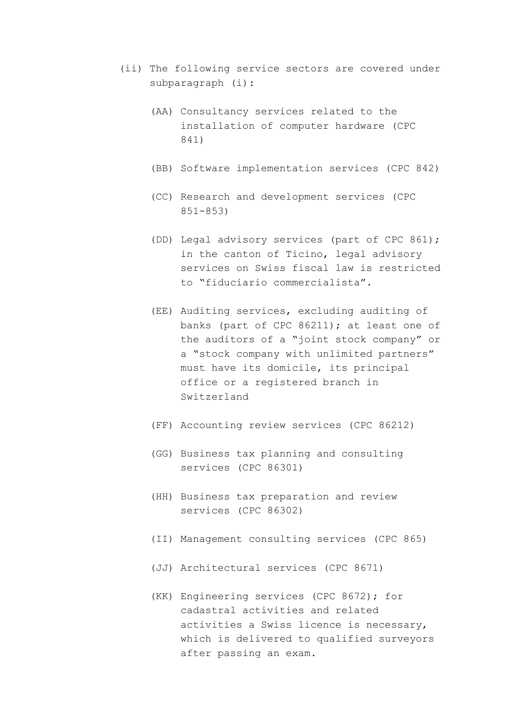- (ii) The following service sectors are covered under subparagraph (i):
	- (AA) Consultancy services related to the installation of computer hardware (CPC 841)
	- (BB) Software implementation services (CPC 842)
	- (CC) Research and development services (CPC 851-853)
	- (DD) Legal advisory services (part of CPC 861); in the canton of Ticino, legal advisory services on Swiss fiscal law is restricted to "fiduciario commercialista".
	- (EE) Auditing services, excluding auditing of banks (part of CPC 86211); at least one of the auditors of a "joint stock company" or a "stock company with unlimited partners" must have its domicile, its principal office or a registered branch in Switzerland
	- (FF) Accounting review services (CPC 86212)
	- (GG) Business tax planning and consulting services (CPC 86301)
	- (HH) Business tax preparation and review services (CPC 86302)
	- (II) Management consulting services (CPC 865)
	- (JJ) Architectural services (CPC 8671)
	- (KK) Engineering services (CPC 8672); for cadastral activities and related activities a Swiss licence is necessary, which is delivered to qualified surveyors after passing an exam.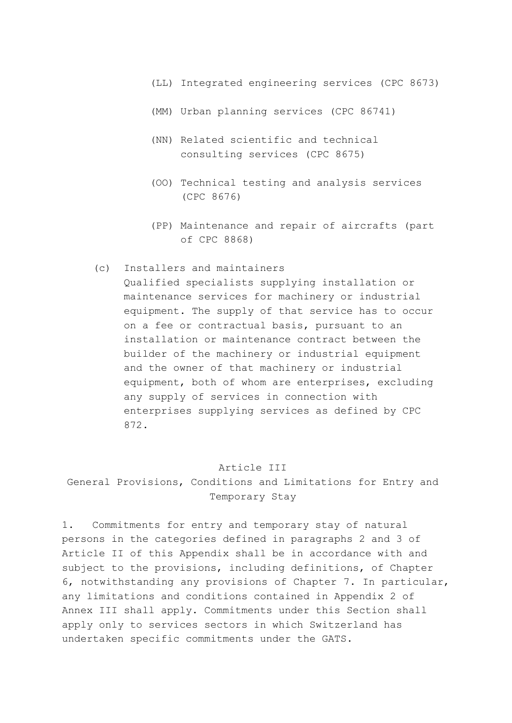- (LL) Integrated engineering services (CPC 8673)
- (MM) Urban planning services (CPC 86741)
- (NN) Related scientific and technical consulting services (CPC 8675)
- (OO) Technical testing and analysis services (CPC 8676)
- (PP) Maintenance and repair of aircrafts (part of CPC 8868)

#### (c) Installers and maintainers

 Qualified specialists supplying installation or maintenance services for machinery or industrial equipment. The supply of that service has to occur on a fee or contractual basis, pursuant to an installation or maintenance contract between the builder of the machinery or industrial equipment and the owner of that machinery or industrial equipment, both of whom are enterprises, excluding any supply of services in connection with enterprises supplying services as defined by CPC 872.

### Article III

General Provisions, Conditions and Limitations for Entry and Temporary Stay

1. Commitments for entry and temporary stay of natural persons in the categories defined in paragraphs 2 and 3 of Article II of this Appendix shall be in accordance with and subject to the provisions, including definitions, of Chapter 6, notwithstanding any provisions of Chapter 7. In particular, any limitations and conditions contained in Appendix 2 of Annex III shall apply. Commitments under this Section shall apply only to services sectors in which Switzerland has undertaken specific commitments under the GATS.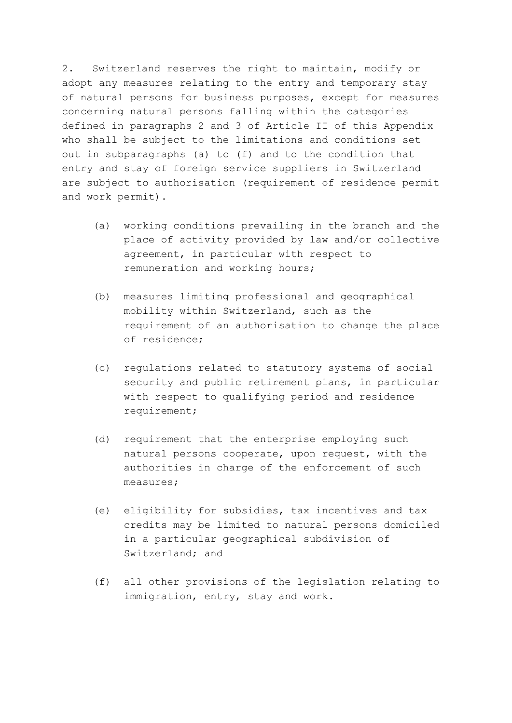2. Switzerland reserves the right to maintain, modify or adopt any measures relating to the entry and temporary stay of natural persons for business purposes, except for measures concerning natural persons falling within the categories defined in paragraphs 2 and 3 of Article II of this Appendix who shall be subject to the limitations and conditions set out in subparagraphs (a) to (f) and to the condition that entry and stay of foreign service suppliers in Switzerland are subject to authorisation (requirement of residence permit and work permit).

- (a) working conditions prevailing in the branch and the place of activity provided by law and/or collective agreement, in particular with respect to remuneration and working hours;
- (b) measures limiting professional and geographical mobility within Switzerland, such as the requirement of an authorisation to change the place of residence;
- (c) regulations related to statutory systems of social security and public retirement plans, in particular with respect to qualifying period and residence requirement;
- (d) requirement that the enterprise employing such natural persons cooperate, upon request, with the authorities in charge of the enforcement of such measures;
- (e) eligibility for subsidies, tax incentives and tax credits may be limited to natural persons domiciled in a particular geographical subdivision of Switzerland; and
- (f) all other provisions of the legislation relating to immigration, entry, stay and work.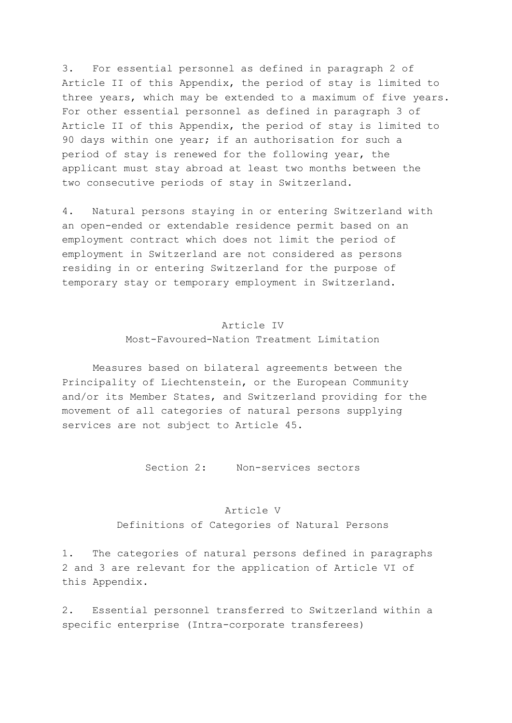3. For essential personnel as defined in paragraph 2 of Article II of this Appendix, the period of stay is limited to three years, which may be extended to a maximum of five years. For other essential personnel as defined in paragraph 3 of Article II of this Appendix, the period of stay is limited to 90 days within one year; if an authorisation for such a period of stay is renewed for the following year, the applicant must stay abroad at least two months between the two consecutive periods of stay in Switzerland.

4. Natural persons staying in or entering Switzerland with an open-ended or extendable residence permit based on an employment contract which does not limit the period of employment in Switzerland are not considered as persons residing in or entering Switzerland for the purpose of temporary stay or temporary employment in Switzerland.

## Article IV Most-Favoured-Nation Treatment Limitation

 Measures based on bilateral agreements between the Principality of Liechtenstein, or the European Community and/or its Member States, and Switzerland providing for the movement of all categories of natural persons supplying services are not subject to Article 45.

Section 2: Non-services sectors

#### Article V

Definitions of Categories of Natural Persons

1. The categories of natural persons defined in paragraphs 2 and 3 are relevant for the application of Article VI of this Appendix.

2. Essential personnel transferred to Switzerland within a specific enterprise (Intra-corporate transferees)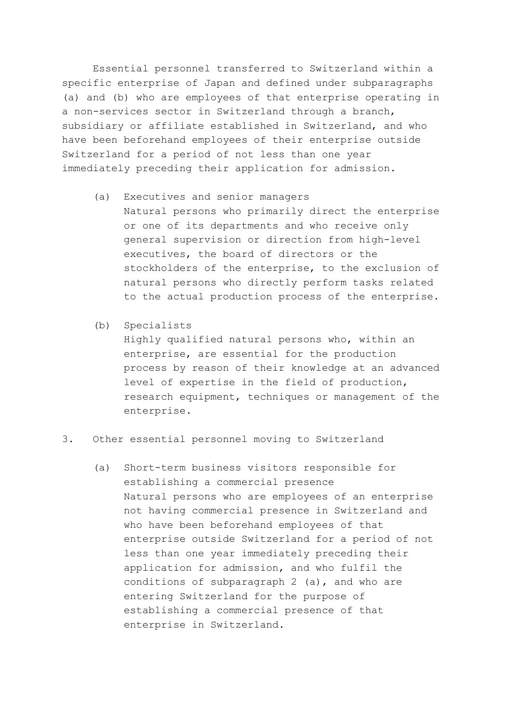Essential personnel transferred to Switzerland within a specific enterprise of Japan and defined under subparagraphs (a) and (b) who are employees of that enterprise operating in a non-services sector in Switzerland through a branch, subsidiary or affiliate established in Switzerland, and who have been beforehand employees of their enterprise outside Switzerland for a period of not less than one year immediately preceding their application for admission.

- (a) Executives and senior managers Natural persons who primarily direct the enterprise or one of its departments and who receive only general supervision or direction from high-level executives, the board of directors or the stockholders of the enterprise, to the exclusion of natural persons who directly perform tasks related to the actual production process of the enterprise.
- (b) Specialists

 Highly qualified natural persons who, within an enterprise, are essential for the production process by reason of their knowledge at an advanced level of expertise in the field of production, research equipment, techniques or management of the enterprise.

- 3. Other essential personnel moving to Switzerland
	- (a) Short-term business visitors responsible for establishing a commercial presence Natural persons who are employees of an enterprise not having commercial presence in Switzerland and who have been beforehand employees of that enterprise outside Switzerland for a period of not less than one year immediately preceding their application for admission, and who fulfil the conditions of subparagraph 2 (a), and who are entering Switzerland for the purpose of establishing a commercial presence of that enterprise in Switzerland.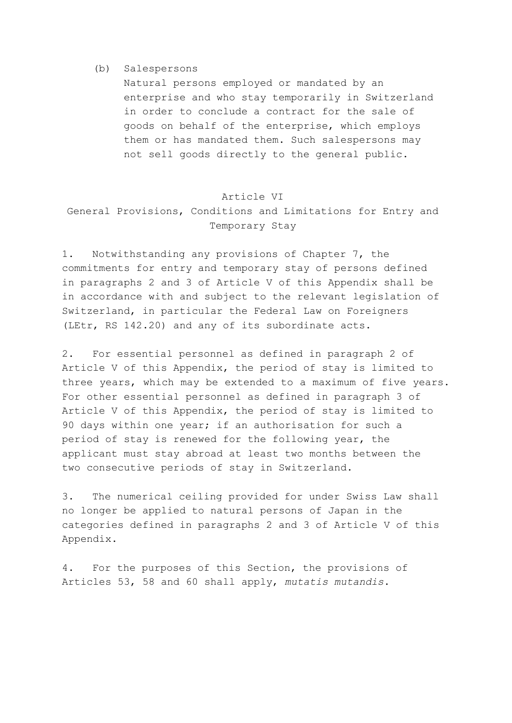#### (b) Salespersons

 Natural persons employed or mandated by an enterprise and who stay temporarily in Switzerland in order to conclude a contract for the sale of goods on behalf of the enterprise, which employs them or has mandated them. Such salespersons may not sell goods directly to the general public.

#### Article VI

## General Provisions, Conditions and Limitations for Entry and Temporary Stay

1. Notwithstanding any provisions of Chapter 7, the commitments for entry and temporary stay of persons defined in paragraphs 2 and 3 of Article V of this Appendix shall be in accordance with and subject to the relevant legislation of Switzerland, in particular the Federal Law on Foreigners (LEtr, RS 142.20) and any of its subordinate acts.

2. For essential personnel as defined in paragraph 2 of Article V of this Appendix, the period of stay is limited to three years, which may be extended to a maximum of five years. For other essential personnel as defined in paragraph 3 of Article V of this Appendix, the period of stay is limited to 90 days within one year; if an authorisation for such a period of stay is renewed for the following year, the applicant must stay abroad at least two months between the two consecutive periods of stay in Switzerland.

3. The numerical ceiling provided for under Swiss Law shall no longer be applied to natural persons of Japan in the categories defined in paragraphs 2 and 3 of Article V of this Appendix.

4. For the purposes of this Section, the provisions of Articles 53, 58 and 60 shall apply, *mutatis mutandis*.